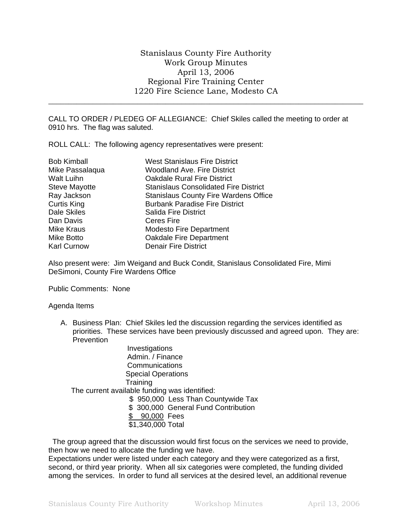\_\_\_\_\_\_\_\_\_\_\_\_\_\_\_\_\_\_\_\_\_\_\_\_\_\_\_\_\_\_\_\_\_\_\_\_\_\_\_\_\_\_\_\_\_\_\_\_\_\_\_\_\_\_\_\_\_\_\_\_\_\_\_\_\_\_\_\_\_\_\_\_\_\_\_\_\_\_

CALL TO ORDER / PLEDEG OF ALLEGIANCE: Chief Skiles called the meeting to order at 0910 hrs. The flag was saluted.

ROLL CALL: The following agency representatives were present:

| <b>Bob Kimball</b>   | <b>West Stanislaus Fire District</b>         |
|----------------------|----------------------------------------------|
| Mike Passalaqua      | <b>Woodland Ave. Fire District</b>           |
| Walt Luihn           | <b>Oakdale Rural Fire District</b>           |
| <b>Steve Mayotte</b> | <b>Stanislaus Consolidated Fire District</b> |
| Ray Jackson          | <b>Stanislaus County Fire Wardens Office</b> |
| <b>Curtis King</b>   | <b>Burbank Paradise Fire District</b>        |
| Dale Skiles          | <b>Salida Fire District</b>                  |
| Dan Davis            | Ceres Fire                                   |
| Mike Kraus           | <b>Modesto Fire Department</b>               |
| Mike Botto           | Oakdale Fire Department                      |
| <b>Karl Curnow</b>   | <b>Denair Fire District</b>                  |

Also present were: Jim Weigand and Buck Condit, Stanislaus Consolidated Fire, Mimi DeSimoni, County Fire Wardens Office

Public Comments: None

## Agenda Items

A. Business Plan: Chief Skiles led the discussion regarding the services identified as priorities. These services have been previously discussed and agreed upon. They are: **Prevention** 

**Investigations**  Admin. / Finance **Communications**  Special Operations **Training**  The current available funding was identified: \$ 950,000 Less Than Countywide Tax \$ 300,000 General Fund Contribution \$ 90,000 Fees \$1,340,000 Total

 The group agreed that the discussion would first focus on the services we need to provide, then how we need to allocate the funding we have.

Expectations under were listed under each category and they were categorized as a first, second, or third year priority. When all six categories were completed, the funding divided among the services. In order to fund all services at the desired level, an additional revenue